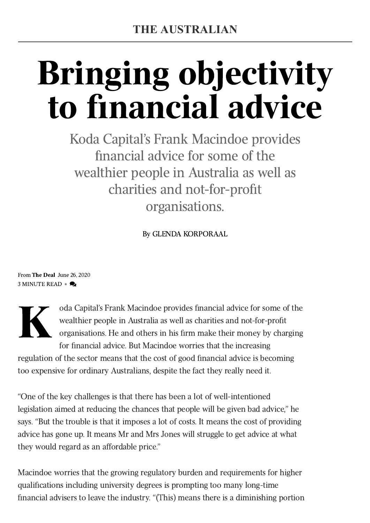# Bringing objectivity to financial advice

Koda Capital's Frank Macindoe provides financial advice for some of the wealthier people in Australia as well as charities and not-for-profit organisations.

By [GLENDA KORPORAAL](https://www.theaustralian.com.au/author/Glenda+Korporaal)

From The [Deal](https://www.theaustralian.com.au/business/the-deal-magazine) June 26, 2020 3 MINUTE READ  $\bullet \bullet$ 



oda Capital's Frank Macindoe provides financial advice for some of the wealthier people in Australia as well as charities and not-for-profit organisations. He and others in his firm make their money by charging for financial advice. But Macindoe worries that the increasing

regulation of the sector means that the cost of good financial advice is becoming too expensive for ordinary Australians, despite the fact they really need it.

"One of the key challenges is that there has been a lot of well-intentioned legislation aimed at reducing the chances that people will be given bad advice," he says. "But the trouble is that it imposes a lot of costs. It means the cost of providing advice has gone up. It means Mr and Mrs Jones will struggle to get advice at what they would regard as an affordable price."

Macindoe worries that the growing regulatory burden and requirements for higher qualifications including university degrees is prompting too many long-time financial advisers to leave the industry. "(This) means there is a diminishing portion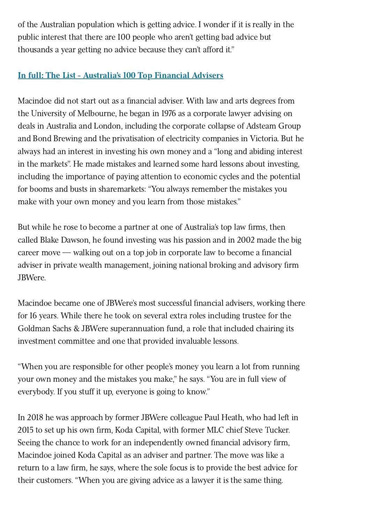of the Australian population which is getting advice. I wonder if it is really in the public interest that there are 100 people who aren't getting bad advice but thousands a year getting no advice because they can't afford it."

## In full: The List - [Australia's](https://www.theaustralian.com.au/business/the-deal-magazine/top-100-advisers) 100 Top Financial Advisers

Macindoe did not start out as a financial adviser. With law and arts degrees from the University of Melbourne, he began in 1976 as a corporate lawyer advising on deals in Australia and London, including the corporate collapse of Adsteam Group and Bond Brewing and the privatisation of electricity companies in Victoria. But he always had an interest in investing his own money and a "long and abiding interest in the markets". He made mistakes and learned some hard lessons about investing, including the importance of paying attention to economic cycles and the potential for booms and busts in sharemarkets: "You always remember the mistakes you make with your own money and you learn from those mistakes."

But while he rose to become a partner at one of Australia's top law firms, then called Blake Dawson, he found investing was his passion and in 2002 made the big career move — walking out on a top job in corporate law to become a financial adviser in private wealth management, joining national broking and advisory firm JBWere.

Macindoe became one of JBWere's most successful financial advisers, working there for 16 years. While there he took on several extra roles including trustee for the Goldman Sachs & JBWere superannuation fund, a role that included chairing its investment committee and one that provided invaluable lessons.

"When you are responsible for other people's money you learn a lot from running your own money and the mistakes you make," he says. "You are in full view of everybody. If you stuff it up, everyone is going to know."

In 2018 he was approach by former JBWere colleague Paul Heath, who had left in 2015 to set up his own firm, Koda Capital, with former MLC chief Steve Tucker. Seeing the chance to work for an independently owned financial advisory firm, Macindoe joined Koda Capital as an adviser and partner. The move was like a return to a law firm, he says, where the sole focus is to provide the best advice for their customers. "When you are giving advice as a lawyer it is the same thing.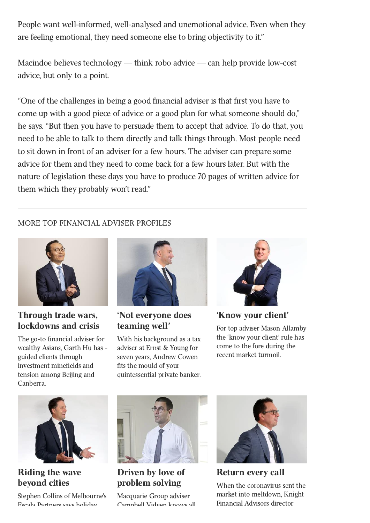People want well-informed, well-analysed and unemotional advice. Even when they are feeling emotional, they need someone else to bring objectivity to it."

Macindoe believes technology — think robo advice — can help provide low-cost advice, but only to a point.

"One of the challenges in being a good financial adviser is that first you have to come up with a good piece of advice or a good plan for what someone should do," he says. "But then you have to persuade them to accept that advice. To do that, you need to be able to talk to them directly and talk things through. Most people need to sit down in front of an adviser for a few hours. The adviser can prepare some advice for them and they need to come back for a few hours later. But with the nature of legislation these days you have to produce 70 pages of written advice for them which they probably won't read."

### MORE TOP FINANCIAL ADVISER PROFILES



## Through trade wars, [lockdowns](https://cdn.newsapi.com.au/link/73211c8d7e9e69e67f8e43618094f0f8?domain=theaustralian.com.au) and crisis

The go-to financial adviser for wealthy Asians, Garth Hu has [guided clients](https://cdn.newsapi.com.au/link/73211c8d7e9e69e67f8e43618094f0f8?domain=theaustralian.com.au) through investment minefields and tension among Beijing and Canberra.



'Not [everyone](https://cdn.newsapi.com.au/link/1ce892c09169743ac54d192a35ac0c37?domain=theaustralian.com.au) does teaming well'

With his [background as](https://cdn.newsapi.com.au/link/1ce892c09169743ac54d192a35ac0c37?domain=theaustralian.com.au) a tax adviser at Ernst & Young for seven years, Andrew Cowen fits the mould of your quintessential private banker.



['Know](https://cdn.newsapi.com.au/link/63c84713c39e4ac1d85f87e34c5e04e8?domain=theaustralian.com.au) your client' For [top adviser](https://cdn.newsapi.com.au/link/63c84713c39e4ac1d85f87e34c5e04e8?domain=theaustralian.com.au) Mason Allamby the 'know your client' rule has come to the fore during the recent market turmoil.



Riding the wave [beyond](https://cdn.newsapi.com.au/link/48632fb1d4ee8395bac51325c68a3419?domain=theaustralian.com.au) cities

Stephen Collins of [Melbourne's](https://cdn.newsapi.com.au/link/48632fb1d4ee8395bac51325c68a3419?domain=theaustralian.com.au) Escala Partners says holiday



Driven by love of [problem](https://cdn.newsapi.com.au/link/a25dc842df348899933b9fda7d9b750f?domain=theaustralian.com.au) solving

Macquarie [Group adviser](https://cdn.newsapi.com.au/link/a25dc842df348899933b9fda7d9b750f?domain=theaustralian.com.au) Campbell Vidgen knows all



[Return](https://cdn.newsapi.com.au/link/cdf6a10ab175097bec18ed0c29eafeda?domain=theaustralian.com.au) every call

When the [coronavirus](https://cdn.newsapi.com.au/link/cdf6a10ab175097bec18ed0c29eafeda?domain=theaustralian.com.au) sent the market into meltdown, Knight Financial Advisors director